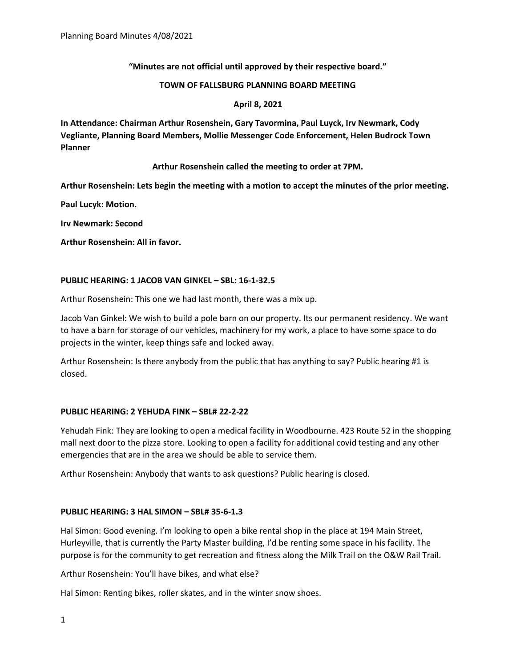**"Minutes are not official until approved by their respective board."** 

#### **TOWN OF FALLSBURG PLANNING BOARD MEETING**

### **April 8, 2021**

**In Attendance: Chairman Arthur Rosenshein, Gary Tavormina, Paul Luyck, Irv Newmark, Cody Vegliante, Planning Board Members, Mollie Messenger Code Enforcement, Helen Budrock Town Planner**

### **Arthur Rosenshein called the meeting to order at 7PM.**

**Arthur Rosenshein: Lets begin the meeting with a motion to accept the minutes of the prior meeting.**

**Paul Lucyk: Motion.**

**Irv Newmark: Second**

**Arthur Rosenshein: All in favor.**

### **PUBLIC HEARING: 1 JACOB VAN GINKEL – SBL: 16-1-32.5**

Arthur Rosenshein: This one we had last month, there was a mix up.

Jacob Van Ginkel: We wish to build a pole barn on our property. Its our permanent residency. We want to have a barn for storage of our vehicles, machinery for my work, a place to have some space to do projects in the winter, keep things safe and locked away.

Arthur Rosenshein: Is there anybody from the public that has anything to say? Public hearing #1 is closed.

# **PUBLIC HEARING: 2 YEHUDA FINK – SBL# 22-2-22**

Yehudah Fink: They are looking to open a medical facility in Woodbourne. 423 Route 52 in the shopping mall next door to the pizza store. Looking to open a facility for additional covid testing and any other emergencies that are in the area we should be able to service them.

Arthur Rosenshein: Anybody that wants to ask questions? Public hearing is closed.

# **PUBLIC HEARING: 3 HAL SIMON – SBL# 35-6-1.3**

Hal Simon: Good evening. I'm looking to open a bike rental shop in the place at 194 Main Street, Hurleyville, that is currently the Party Master building, I'd be renting some space in his facility. The purpose is for the community to get recreation and fitness along the Milk Trail on the O&W Rail Trail.

Arthur Rosenshein: You'll have bikes, and what else?

Hal Simon: Renting bikes, roller skates, and in the winter snow shoes.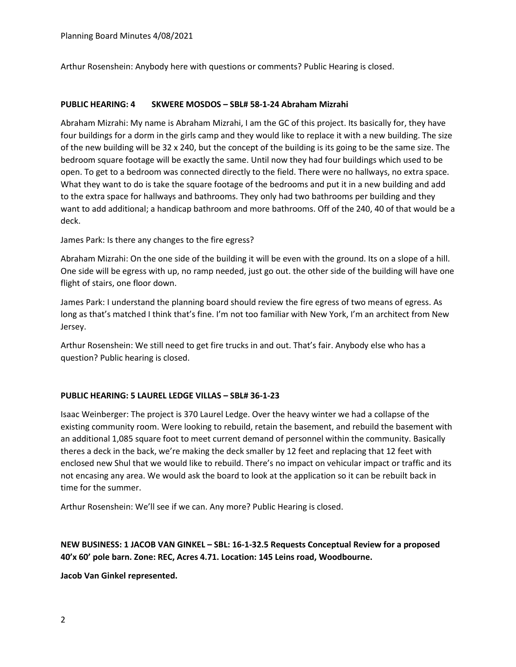Arthur Rosenshein: Anybody here with questions or comments? Public Hearing is closed.

### **PUBLIC HEARING: 4 SKWERE MOSDOS – SBL# 58-1-24 Abraham Mizrahi**

Abraham Mizrahi: My name is Abraham Mizrahi, I am the GC of this project. Its basically for, they have four buildings for a dorm in the girls camp and they would like to replace it with a new building. The size of the new building will be 32 x 240, but the concept of the building is its going to be the same size. The bedroom square footage will be exactly the same. Until now they had four buildings which used to be open. To get to a bedroom was connected directly to the field. There were no hallways, no extra space. What they want to do is take the square footage of the bedrooms and put it in a new building and add to the extra space for hallways and bathrooms. They only had two bathrooms per building and they want to add additional; a handicap bathroom and more bathrooms. Off of the 240, 40 of that would be a deck.

James Park: Is there any changes to the fire egress?

Abraham Mizrahi: On the one side of the building it will be even with the ground. Its on a slope of a hill. One side will be egress with up, no ramp needed, just go out. the other side of the building will have one flight of stairs, one floor down.

James Park: I understand the planning board should review the fire egress of two means of egress. As long as that's matched I think that's fine. I'm not too familiar with New York, I'm an architect from New Jersey.

Arthur Rosenshein: We still need to get fire trucks in and out. That's fair. Anybody else who has a question? Public hearing is closed.

# **PUBLIC HEARING: 5 LAUREL LEDGE VILLAS – SBL# 36-1-23**

Isaac Weinberger: The project is 370 Laurel Ledge. Over the heavy winter we had a collapse of the existing community room. Were looking to rebuild, retain the basement, and rebuild the basement with an additional 1,085 square foot to meet current demand of personnel within the community. Basically theres a deck in the back, we're making the deck smaller by 12 feet and replacing that 12 feet with enclosed new Shul that we would like to rebuild. There's no impact on vehicular impact or traffic and its not encasing any area. We would ask the board to look at the application so it can be rebuilt back in time for the summer.

Arthur Rosenshein: We'll see if we can. Any more? Public Hearing is closed.

# **NEW BUSINESS: 1 JACOB VAN GINKEL – SBL: 16-1-32.5 Requests Conceptual Review for a proposed 40'x 60' pole barn. Zone: REC, Acres 4.71. Location: 145 Leins road, Woodbourne.**

**Jacob Van Ginkel represented.**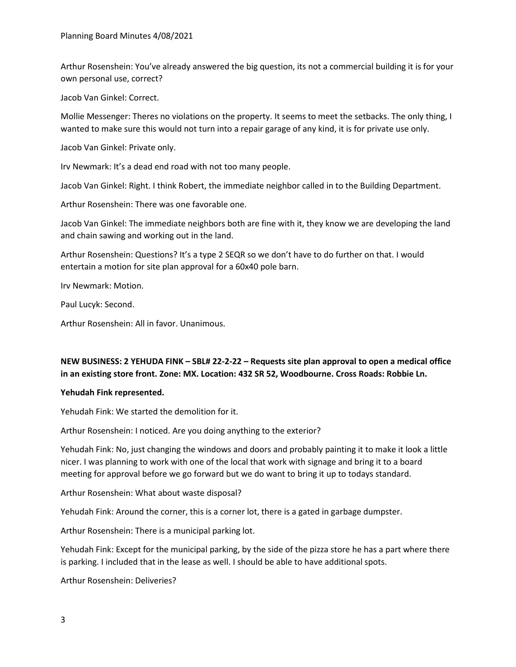Arthur Rosenshein: You've already answered the big question, its not a commercial building it is for your own personal use, correct?

Jacob Van Ginkel: Correct.

Mollie Messenger: Theres no violations on the property. It seems to meet the setbacks. The only thing, I wanted to make sure this would not turn into a repair garage of any kind, it is for private use only.

Jacob Van Ginkel: Private only.

Irv Newmark: It's a dead end road with not too many people.

Jacob Van Ginkel: Right. I think Robert, the immediate neighbor called in to the Building Department.

Arthur Rosenshein: There was one favorable one.

Jacob Van Ginkel: The immediate neighbors both are fine with it, they know we are developing the land and chain sawing and working out in the land.

Arthur Rosenshein: Questions? It's a type 2 SEQR so we don't have to do further on that. I would entertain a motion for site plan approval for a 60x40 pole barn.

Irv Newmark: Motion.

Paul Lucyk: Second.

Arthur Rosenshein: All in favor. Unanimous.

# **NEW BUSINESS: 2 YEHUDA FINK – SBL# 22-2-22 – Requests site plan approval to open a medical office in an existing store front. Zone: MX. Location: 432 SR 52, Woodbourne. Cross Roads: Robbie Ln.**

#### **Yehudah Fink represented.**

Yehudah Fink: We started the demolition for it.

Arthur Rosenshein: I noticed. Are you doing anything to the exterior?

Yehudah Fink: No, just changing the windows and doors and probably painting it to make it look a little nicer. I was planning to work with one of the local that work with signage and bring it to a board meeting for approval before we go forward but we do want to bring it up to todays standard.

Arthur Rosenshein: What about waste disposal?

Yehudah Fink: Around the corner, this is a corner lot, there is a gated in garbage dumpster.

Arthur Rosenshein: There is a municipal parking lot.

Yehudah Fink: Except for the municipal parking, by the side of the pizza store he has a part where there is parking. I included that in the lease as well. I should be able to have additional spots.

Arthur Rosenshein: Deliveries?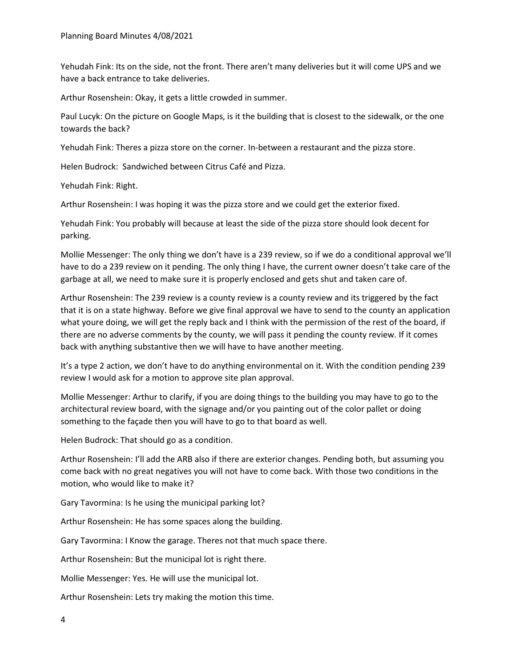Yehudah Fink: Its on the side, not the front. There aren't many deliveries but it will come UPS and we have a back entrance to take deliveries.

Arthur Rosenshein: Okay, it gets a little crowded in summer.

Paul Lucyk: On the picture on Google Maps, is it the building that is closest to the sidewalk, or the one towards the back?

Yehudah Fink: Theres a pizza store on the corner. In-between a restaurant and the pizza store.

Helen Budrock: Sandwiched between Citrus Café and Pizza.

Yehudah Fink: Right.

Arthur Rosenshein: I was hoping it was the pizza store and we could get the exterior fixed.

Yehudah Fink: You probably will because at least the side of the pizza store should look decent for parking.

Mollie Messenger: The only thing we don't have is a 239 review, so if we do a conditional approval we'll have to do a 239 review on it pending. The only thing I have, the current owner doesn't take care of the garbage at all, we need to make sure it is properly enclosed and gets shut and taken care of.

Arthur Rosenshein: The 239 review is a county review is a county review and its triggered by the fact that it is on a state highway. Before we give final approval we have to send to the county an application what youre doing, we will get the reply back and I think with the permission of the rest of the board, if there are no adverse comments by the county, we will pass it pending the county review. If it comes back with anything substantive then we will have to have another meeting.

It's a type 2 action, we don't have to do anything environmental on it. With the condition pending 239 review I would ask for a motion to approve site plan approval.

Mollie Messenger: Arthur to clarify, if you are doing things to the building you may have to go to the architectural review board, with the signage and/or you painting out of the color pallet or doing something to the façade then you will have to go to that board as well.

Helen Budrock: That should go as a condition.

Arthur Rosenshein: I'll add the ARB also if there are exterior changes. Pending both, but assuming you come back with no great negatives you will not have to come back. With those two conditions in the motion, who would like to make it?

Gary Tavormina: Is he using the municipal parking lot?

Arthur Rosenshein: He has some spaces along the building.

Gary Tavormina: I Know the garage. Theres not that much space there.

Arthur Rosenshein: But the municipal lot is right there.

Mollie Messenger: Yes. He will use the municipal lot.

Arthur Rosenshein: Lets try making the motion this time.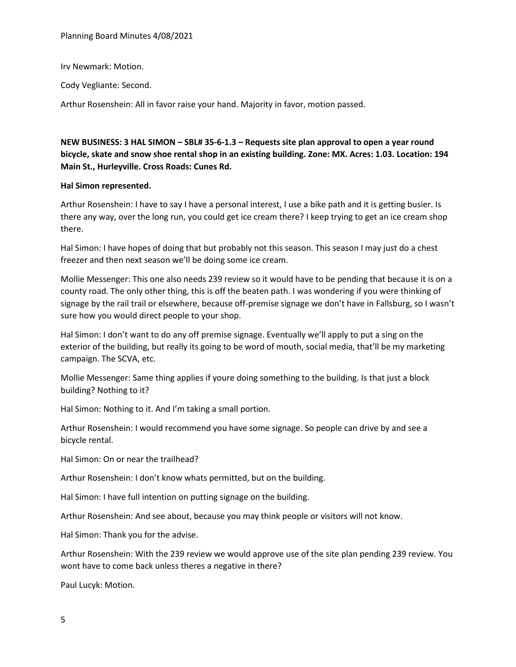Planning Board Minutes 4/08/2021

Irv Newmark: Motion.

Cody Vegliante: Second.

Arthur Rosenshein: All in favor raise your hand. Majority in favor, motion passed.

**NEW BUSINESS: 3 HAL SIMON – SBL# 35-6-1.3 – Requests site plan approval to open a year round bicycle, skate and snow shoe rental shop in an existing building. Zone: MX. Acres: 1.03. Location: 194 Main St., Hurleyville. Cross Roads: Cunes Rd.**

### **Hal Simon represented.**

Arthur Rosenshein: I have to say I have a personal interest, I use a bike path and it is getting busier. Is there any way, over the long run, you could get ice cream there? I keep trying to get an ice cream shop there.

Hal Simon: I have hopes of doing that but probably not this season. This season I may just do a chest freezer and then next season we'll be doing some ice cream.

Mollie Messenger: This one also needs 239 review so it would have to be pending that because it is on a county road. The only other thing, this is off the beaten path. I was wondering if you were thinking of signage by the rail trail or elsewhere, because off-premise signage we don't have in Fallsburg, so I wasn't sure how you would direct people to your shop.

Hal Simon: I don't want to do any off premise signage. Eventually we'll apply to put a sing on the exterior of the building, but really its going to be word of mouth, social media, that'll be my marketing campaign. The SCVA, etc.

Mollie Messenger: Same thing applies if youre doing something to the building. Is that just a block building? Nothing to it?

Hal Simon: Nothing to it. And I'm taking a small portion.

Arthur Rosenshein: I would recommend you have some signage. So people can drive by and see a bicycle rental.

Hal Simon: On or near the trailhead?

Arthur Rosenshein: I don't know whats permitted, but on the building.

Hal Simon: I have full intention on putting signage on the building.

Arthur Rosenshein: And see about, because you may think people or visitors will not know.

Hal Simon: Thank you for the advise.

Arthur Rosenshein: With the 239 review we would approve use of the site plan pending 239 review. You wont have to come back unless theres a negative in there?

Paul Lucyk: Motion.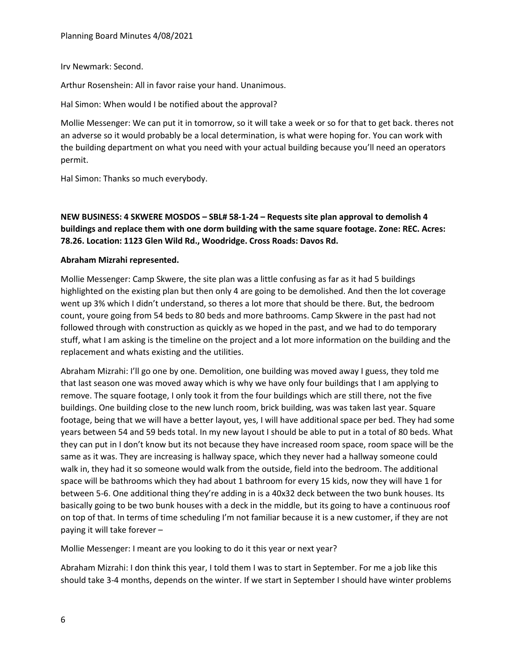Irv Newmark: Second.

Arthur Rosenshein: All in favor raise your hand. Unanimous.

Hal Simon: When would I be notified about the approval?

Mollie Messenger: We can put it in tomorrow, so it will take a week or so for that to get back. theres not an adverse so it would probably be a local determination, is what were hoping for. You can work with the building department on what you need with your actual building because you'll need an operators permit.

Hal Simon: Thanks so much everybody.

**NEW BUSINESS: 4 SKWERE MOSDOS – SBL# 58-1-24 – Requests site plan approval to demolish 4 buildings and replace them with one dorm building with the same square footage. Zone: REC. Acres: 78.26. Location: 1123 Glen Wild Rd., Woodridge. Cross Roads: Davos Rd.**

# **Abraham Mizrahi represented.**

Mollie Messenger: Camp Skwere, the site plan was a little confusing as far as it had 5 buildings highlighted on the existing plan but then only 4 are going to be demolished. And then the lot coverage went up 3% which I didn't understand, so theres a lot more that should be there. But, the bedroom count, youre going from 54 beds to 80 beds and more bathrooms. Camp Skwere in the past had not followed through with construction as quickly as we hoped in the past, and we had to do temporary stuff, what I am asking is the timeline on the project and a lot more information on the building and the replacement and whats existing and the utilities.

Abraham Mizrahi: I'll go one by one. Demolition, one building was moved away I guess, they told me that last season one was moved away which is why we have only four buildings that I am applying to remove. The square footage, I only took it from the four buildings which are still there, not the five buildings. One building close to the new lunch room, brick building, was was taken last year. Square footage, being that we will have a better layout, yes, I will have additional space per bed. They had some years between 54 and 59 beds total. In my new layout I should be able to put in a total of 80 beds. What they can put in I don't know but its not because they have increased room space, room space will be the same as it was. They are increasing is hallway space, which they never had a hallway someone could walk in, they had it so someone would walk from the outside, field into the bedroom. The additional space will be bathrooms which they had about 1 bathroom for every 15 kids, now they will have 1 for between 5-6. One additional thing they're adding in is a 40x32 deck between the two bunk houses. Its basically going to be two bunk houses with a deck in the middle, but its going to have a continuous roof on top of that. In terms of time scheduling I'm not familiar because it is a new customer, if they are not paying it will take forever –

Mollie Messenger: I meant are you looking to do it this year or next year?

Abraham Mizrahi: I don think this year, I told them I was to start in September. For me a job like this should take 3-4 months, depends on the winter. If we start in September I should have winter problems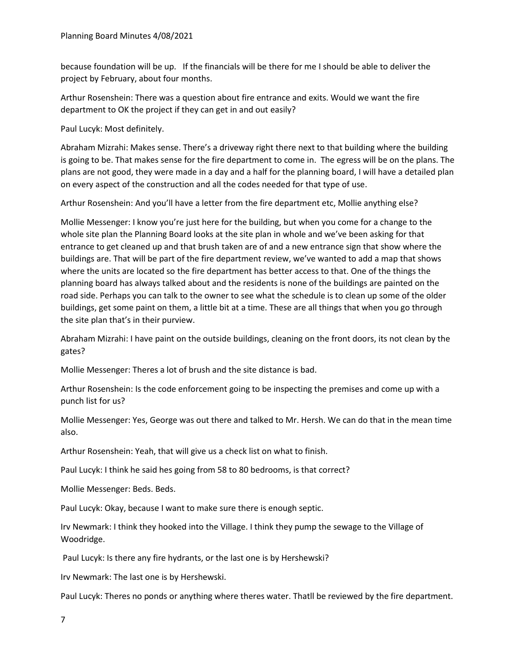because foundation will be up. If the financials will be there for me I should be able to deliver the project by February, about four months.

Arthur Rosenshein: There was a question about fire entrance and exits. Would we want the fire department to OK the project if they can get in and out easily?

Paul Lucyk: Most definitely.

Abraham Mizrahi: Makes sense. There's a driveway right there next to that building where the building is going to be. That makes sense for the fire department to come in. The egress will be on the plans. The plans are not good, they were made in a day and a half for the planning board, I will have a detailed plan on every aspect of the construction and all the codes needed for that type of use.

Arthur Rosenshein: And you'll have a letter from the fire department etc, Mollie anything else?

Mollie Messenger: I know you're just here for the building, but when you come for a change to the whole site plan the Planning Board looks at the site plan in whole and we've been asking for that entrance to get cleaned up and that brush taken are of and a new entrance sign that show where the buildings are. That will be part of the fire department review, we've wanted to add a map that shows where the units are located so the fire department has better access to that. One of the things the planning board has always talked about and the residents is none of the buildings are painted on the road side. Perhaps you can talk to the owner to see what the schedule is to clean up some of the older buildings, get some paint on them, a little bit at a time. These are all things that when you go through the site plan that's in their purview.

Abraham Mizrahi: I have paint on the outside buildings, cleaning on the front doors, its not clean by the gates?

Mollie Messenger: Theres a lot of brush and the site distance is bad.

Arthur Rosenshein: Is the code enforcement going to be inspecting the premises and come up with a punch list for us?

Mollie Messenger: Yes, George was out there and talked to Mr. Hersh. We can do that in the mean time also.

Arthur Rosenshein: Yeah, that will give us a check list on what to finish.

Paul Lucyk: I think he said hes going from 58 to 80 bedrooms, is that correct?

Mollie Messenger: Beds. Beds.

Paul Lucyk: Okay, because I want to make sure there is enough septic.

Irv Newmark: I think they hooked into the Village. I think they pump the sewage to the Village of Woodridge.

Paul Lucyk: Is there any fire hydrants, or the last one is by Hershewski?

Irv Newmark: The last one is by Hershewski.

Paul Lucyk: Theres no ponds or anything where theres water. Thatll be reviewed by the fire department.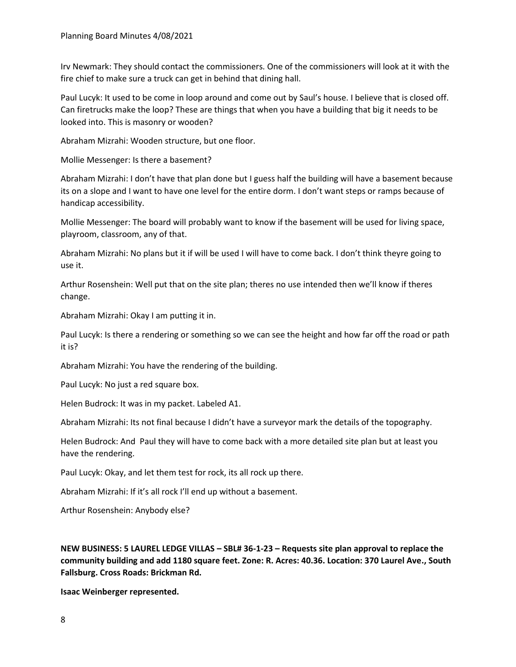Irv Newmark: They should contact the commissioners. One of the commissioners will look at it with the fire chief to make sure a truck can get in behind that dining hall.

Paul Lucyk: It used to be come in loop around and come out by Saul's house. I believe that is closed off. Can firetrucks make the loop? These are things that when you have a building that big it needs to be looked into. This is masonry or wooden?

Abraham Mizrahi: Wooden structure, but one floor.

Mollie Messenger: Is there a basement?

Abraham Mizrahi: I don't have that plan done but I guess half the building will have a basement because its on a slope and I want to have one level for the entire dorm. I don't want steps or ramps because of handicap accessibility.

Mollie Messenger: The board will probably want to know if the basement will be used for living space, playroom, classroom, any of that.

Abraham Mizrahi: No plans but it if will be used I will have to come back. I don't think theyre going to use it.

Arthur Rosenshein: Well put that on the site plan; theres no use intended then we'll know if theres change.

Abraham Mizrahi: Okay I am putting it in.

Paul Lucyk: Is there a rendering or something so we can see the height and how far off the road or path it is?

Abraham Mizrahi: You have the rendering of the building.

Paul Lucyk: No just a red square box.

Helen Budrock: It was in my packet. Labeled A1.

Abraham Mizrahi: Its not final because I didn't have a surveyor mark the details of the topography.

Helen Budrock: And Paul they will have to come back with a more detailed site plan but at least you have the rendering.

Paul Lucyk: Okay, and let them test for rock, its all rock up there.

Abraham Mizrahi: If it's all rock I'll end up without a basement.

Arthur Rosenshein: Anybody else?

**NEW BUSINESS: 5 LAUREL LEDGE VILLAS – SBL# 36-1-23 – Requests site plan approval to replace the community building and add 1180 square feet. Zone: R. Acres: 40.36. Location: 370 Laurel Ave., South Fallsburg. Cross Roads: Brickman Rd.**

**Isaac Weinberger represented.**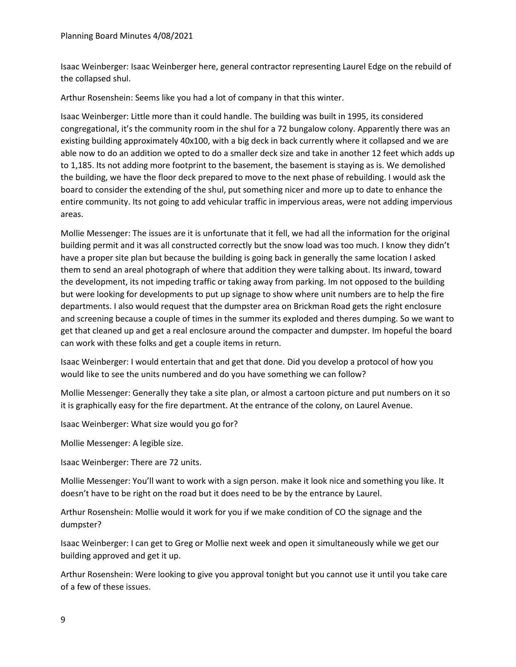Isaac Weinberger: Isaac Weinberger here, general contractor representing Laurel Edge on the rebuild of the collapsed shul.

Arthur Rosenshein: Seems like you had a lot of company in that this winter.

Isaac Weinberger: Little more than it could handle. The building was built in 1995, its considered congregational, it's the community room in the shul for a 72 bungalow colony. Apparently there was an existing building approximately 40x100, with a big deck in back currently where it collapsed and we are able now to do an addition we opted to do a smaller deck size and take in another 12 feet which adds up to 1,185. Its not adding more footprint to the basement, the basement is staying as is. We demolished the building, we have the floor deck prepared to move to the next phase of rebuilding. I would ask the board to consider the extending of the shul, put something nicer and more up to date to enhance the entire community. Its not going to add vehicular traffic in impervious areas, were not adding impervious areas.

Mollie Messenger: The issues are it is unfortunate that it fell, we had all the information for the original building permit and it was all constructed correctly but the snow load was too much. I know they didn't have a proper site plan but because the building is going back in generally the same location I asked them to send an areal photograph of where that addition they were talking about. Its inward, toward the development, its not impeding traffic or taking away from parking. Im not opposed to the building but were looking for developments to put up signage to show where unit numbers are to help the fire departments. I also would request that the dumpster area on Brickman Road gets the right enclosure and screening because a couple of times in the summer its exploded and theres dumping. So we want to get that cleaned up and get a real enclosure around the compacter and dumpster. Im hopeful the board can work with these folks and get a couple items in return.

Isaac Weinberger: I would entertain that and get that done. Did you develop a protocol of how you would like to see the units numbered and do you have something we can follow?

Mollie Messenger: Generally they take a site plan, or almost a cartoon picture and put numbers on it so it is graphically easy for the fire department. At the entrance of the colony, on Laurel Avenue.

Isaac Weinberger: What size would you go for?

Mollie Messenger: A legible size.

Isaac Weinberger: There are 72 units.

Mollie Messenger: You'll want to work with a sign person. make it look nice and something you like. It doesn't have to be right on the road but it does need to be by the entrance by Laurel.

Arthur Rosenshein: Mollie would it work for you if we make condition of CO the signage and the dumpster?

Isaac Weinberger: I can get to Greg or Mollie next week and open it simultaneously while we get our building approved and get it up.

Arthur Rosenshein: Were looking to give you approval tonight but you cannot use it until you take care of a few of these issues.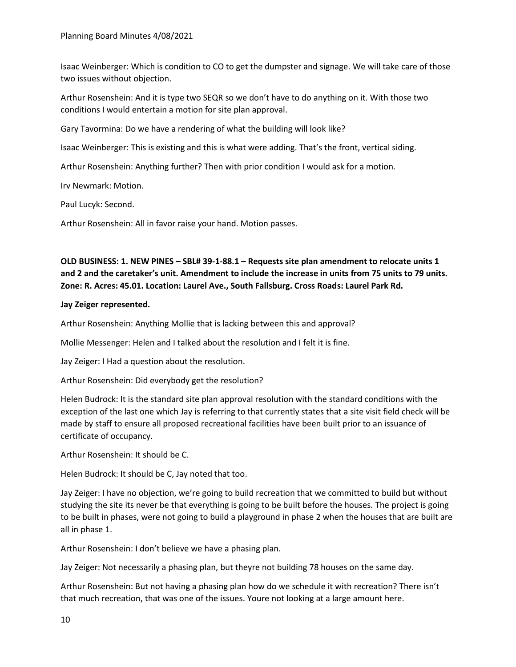Isaac Weinberger: Which is condition to CO to get the dumpster and signage. We will take care of those two issues without objection.

Arthur Rosenshein: And it is type two SEQR so we don't have to do anything on it. With those two conditions I would entertain a motion for site plan approval.

Gary Tavormina: Do we have a rendering of what the building will look like?

Isaac Weinberger: This is existing and this is what were adding. That's the front, vertical siding.

Arthur Rosenshein: Anything further? Then with prior condition I would ask for a motion.

Irv Newmark: Motion.

Paul Lucyk: Second.

Arthur Rosenshein: All in favor raise your hand. Motion passes.

# **OLD BUSINESS: 1. NEW PINES – SBL# 39-1-88.1 – Requests site plan amendment to relocate units 1 and 2 and the caretaker's unit. Amendment to include the increase in units from 75 units to 79 units. Zone: R. Acres: 45.01. Location: Laurel Ave., South Fallsburg. Cross Roads: Laurel Park Rd.**

# **Jay Zeiger represented.**

Arthur Rosenshein: Anything Mollie that is lacking between this and approval?

Mollie Messenger: Helen and I talked about the resolution and I felt it is fine.

Jay Zeiger: I Had a question about the resolution.

Arthur Rosenshein: Did everybody get the resolution?

Helen Budrock: It is the standard site plan approval resolution with the standard conditions with the exception of the last one which Jay is referring to that currently states that a site visit field check will be made by staff to ensure all proposed recreational facilities have been built prior to an issuance of certificate of occupancy.

Arthur Rosenshein: It should be C.

Helen Budrock: It should be C, Jay noted that too.

Jay Zeiger: I have no objection, we're going to build recreation that we committed to build but without studying the site its never be that everything is going to be built before the houses. The project is going to be built in phases, were not going to build a playground in phase 2 when the houses that are built are all in phase 1.

Arthur Rosenshein: I don't believe we have a phasing plan.

Jay Zeiger: Not necessarily a phasing plan, but theyre not building 78 houses on the same day.

Arthur Rosenshein: But not having a phasing plan how do we schedule it with recreation? There isn't that much recreation, that was one of the issues. Youre not looking at a large amount here.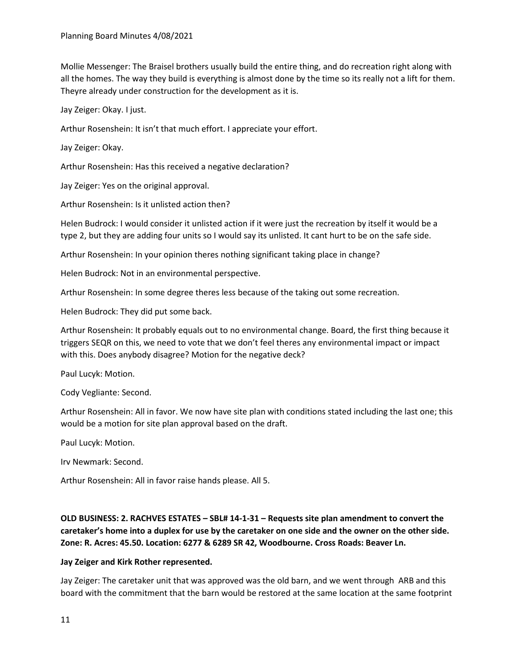Mollie Messenger: The Braisel brothers usually build the entire thing, and do recreation right along with all the homes. The way they build is everything is almost done by the time so its really not a lift for them. Theyre already under construction for the development as it is.

Jay Zeiger: Okay. I just.

Arthur Rosenshein: It isn't that much effort. I appreciate your effort.

Jay Zeiger: Okay.

Arthur Rosenshein: Has this received a negative declaration?

Jay Zeiger: Yes on the original approval.

Arthur Rosenshein: Is it unlisted action then?

Helen Budrock: I would consider it unlisted action if it were just the recreation by itself it would be a type 2, but they are adding four units so I would say its unlisted. It cant hurt to be on the safe side.

Arthur Rosenshein: In your opinion theres nothing significant taking place in change?

Helen Budrock: Not in an environmental perspective.

Arthur Rosenshein: In some degree theres less because of the taking out some recreation.

Helen Budrock: They did put some back.

Arthur Rosenshein: It probably equals out to no environmental change. Board, the first thing because it triggers SEQR on this, we need to vote that we don't feel theres any environmental impact or impact with this. Does anybody disagree? Motion for the negative deck?

Paul Lucyk: Motion.

Cody Vegliante: Second.

Arthur Rosenshein: All in favor. We now have site plan with conditions stated including the last one; this would be a motion for site plan approval based on the draft.

Paul Lucyk: Motion.

Irv Newmark: Second.

Arthur Rosenshein: All in favor raise hands please. All 5.

**OLD BUSINESS: 2. RACHVES ESTATES – SBL# 14-1-31 – Requests site plan amendment to convert the caretaker's home into a duplex for use by the caretaker on one side and the owner on the other side. Zone: R. Acres: 45.50. Location: 6277 & 6289 SR 42, Woodbourne. Cross Roads: Beaver Ln.**

#### **Jay Zeiger and Kirk Rother represented.**

Jay Zeiger: The caretaker unit that was approved was the old barn, and we went through ARB and this board with the commitment that the barn would be restored at the same location at the same footprint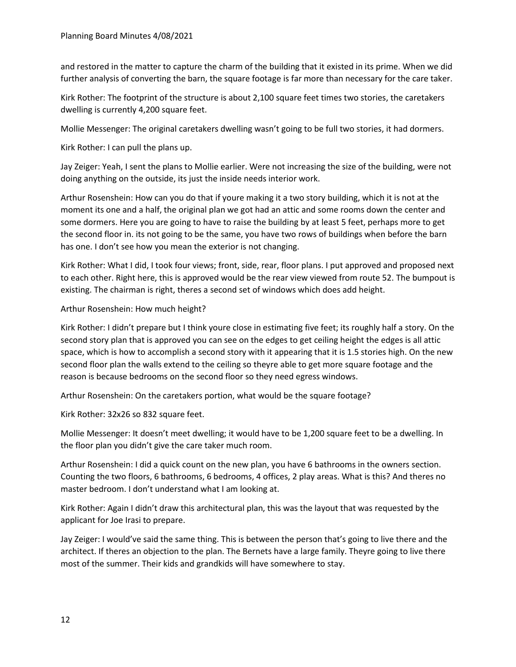and restored in the matter to capture the charm of the building that it existed in its prime. When we did further analysis of converting the barn, the square footage is far more than necessary for the care taker.

Kirk Rother: The footprint of the structure is about 2,100 square feet times two stories, the caretakers dwelling is currently 4,200 square feet.

Mollie Messenger: The original caretakers dwelling wasn't going to be full two stories, it had dormers.

Kirk Rother: I can pull the plans up.

Jay Zeiger: Yeah, I sent the plans to Mollie earlier. Were not increasing the size of the building, were not doing anything on the outside, its just the inside needs interior work.

Arthur Rosenshein: How can you do that if youre making it a two story building, which it is not at the moment its one and a half, the original plan we got had an attic and some rooms down the center and some dormers. Here you are going to have to raise the building by at least 5 feet, perhaps more to get the second floor in. its not going to be the same, you have two rows of buildings when before the barn has one. I don't see how you mean the exterior is not changing.

Kirk Rother: What I did, I took four views; front, side, rear, floor plans. I put approved and proposed next to each other. Right here, this is approved would be the rear view viewed from route 52. The bumpout is existing. The chairman is right, theres a second set of windows which does add height.

# Arthur Rosenshein: How much height?

Kirk Rother: I didn't prepare but I think youre close in estimating five feet; its roughly half a story. On the second story plan that is approved you can see on the edges to get ceiling height the edges is all attic space, which is how to accomplish a second story with it appearing that it is 1.5 stories high. On the new second floor plan the walls extend to the ceiling so theyre able to get more square footage and the reason is because bedrooms on the second floor so they need egress windows.

Arthur Rosenshein: On the caretakers portion, what would be the square footage?

Kirk Rother: 32x26 so 832 square feet.

Mollie Messenger: It doesn't meet dwelling; it would have to be 1,200 square feet to be a dwelling. In the floor plan you didn't give the care taker much room.

Arthur Rosenshein: I did a quick count on the new plan, you have 6 bathrooms in the owners section. Counting the two floors, 6 bathrooms, 6 bedrooms, 4 offices, 2 play areas. What is this? And theres no master bedroom. I don't understand what I am looking at.

Kirk Rother: Again I didn't draw this architectural plan, this was the layout that was requested by the applicant for Joe Irasi to prepare.

Jay Zeiger: I would've said the same thing. This is between the person that's going to live there and the architect. If theres an objection to the plan. The Bernets have a large family. Theyre going to live there most of the summer. Their kids and grandkids will have somewhere to stay.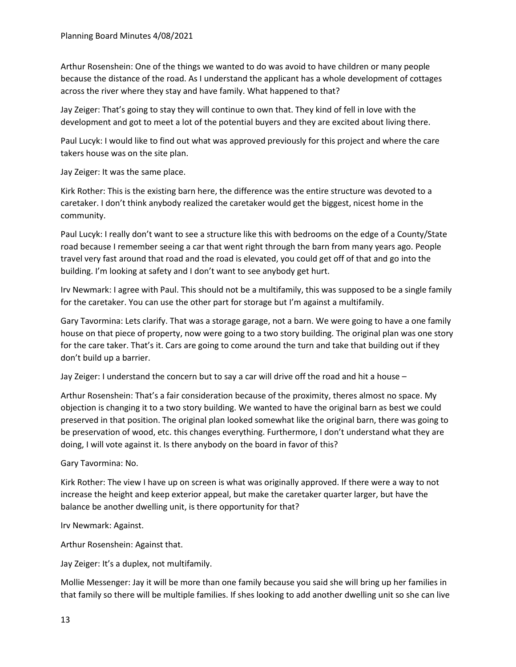Arthur Rosenshein: One of the things we wanted to do was avoid to have children or many people because the distance of the road. As I understand the applicant has a whole development of cottages across the river where they stay and have family. What happened to that?

Jay Zeiger: That's going to stay they will continue to own that. They kind of fell in love with the development and got to meet a lot of the potential buyers and they are excited about living there.

Paul Lucyk: I would like to find out what was approved previously for this project and where the care takers house was on the site plan.

Jay Zeiger: It was the same place.

Kirk Rother: This is the existing barn here, the difference was the entire structure was devoted to a caretaker. I don't think anybody realized the caretaker would get the biggest, nicest home in the community.

Paul Lucyk: I really don't want to see a structure like this with bedrooms on the edge of a County/State road because I remember seeing a car that went right through the barn from many years ago. People travel very fast around that road and the road is elevated, you could get off of that and go into the building. I'm looking at safety and I don't want to see anybody get hurt.

Irv Newmark: I agree with Paul. This should not be a multifamily, this was supposed to be a single family for the caretaker. You can use the other part for storage but I'm against a multifamily.

Gary Tavormina: Lets clarify. That was a storage garage, not a barn. We were going to have a one family house on that piece of property, now were going to a two story building. The original plan was one story for the care taker. That's it. Cars are going to come around the turn and take that building out if they don't build up a barrier.

Jay Zeiger: I understand the concern but to say a car will drive off the road and hit a house –

Arthur Rosenshein: That's a fair consideration because of the proximity, theres almost no space. My objection is changing it to a two story building. We wanted to have the original barn as best we could preserved in that position. The original plan looked somewhat like the original barn, there was going to be preservation of wood, etc. this changes everything. Furthermore, I don't understand what they are doing, I will vote against it. Is there anybody on the board in favor of this?

Gary Tavormina: No.

Kirk Rother: The view I have up on screen is what was originally approved. If there were a way to not increase the height and keep exterior appeal, but make the caretaker quarter larger, but have the balance be another dwelling unit, is there opportunity for that?

Irv Newmark: Against.

Arthur Rosenshein: Against that.

Jay Zeiger: It's a duplex, not multifamily.

Mollie Messenger: Jay it will be more than one family because you said she will bring up her families in that family so there will be multiple families. If shes looking to add another dwelling unit so she can live